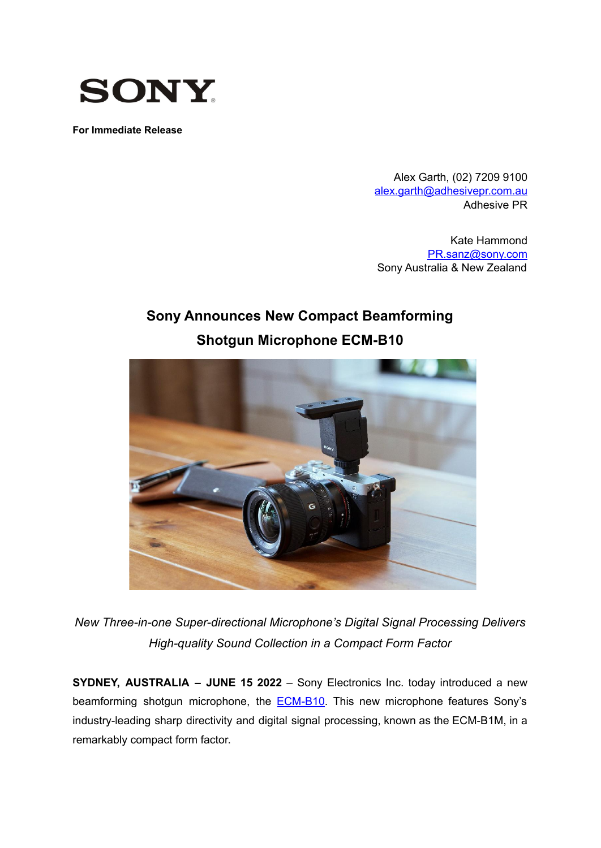

**For Immediate Release**

Alex Garth, (02) 7209 9100 [alex.garth@adhesivepr.com.au](mailto:alex.garth@adhesivepr.com.au) Adhesive PR

Kate Hammond [PR.sanz@sony.com](mailto:PR.sanz@sony.com) Sony Australia & New Zealand

# **Sony Announces New Compact Beamforming Shotgun Microphone ECM-B10**



*New Three-in-one Super-directional Microphone's Digital Signal Processing Delivers High-quality Sound Collection in a Compact Form Factor*

**SYDNEY, AUSTRALIA – JUNE 15 2022** – Sony Electronics Inc. today introduced a new beamforming shotgun microphone, the **[ECM-B10](https://sony.com.au/electronics/interchangeable-lens-cameras-microphones/ecm-b10)**. This new microphone features Sony's industry-leading sharp directivity and digital signal processing, known as the ECM-B1M, in a remarkably compact form factor.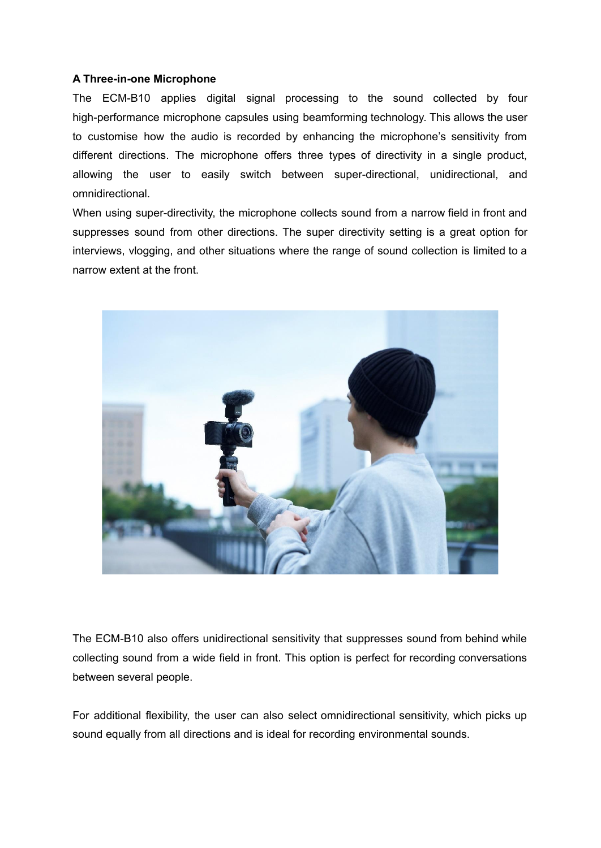#### **A Three-in-one Microphone**

The ECM-B10 applies digital signal processing to the sound collected by four high-performance microphone capsules using beamforming technology. This allows the user to customise how the audio is recorded by enhancing the microphone's sensitivity from different directions. The microphone offers three types of directivity in a single product, allowing the user to easily switch between super-directional, unidirectional, and omnidirectional.

When using super-directivity, the microphone collects sound from a narrow field in front and suppresses sound from other directions. The super directivity setting is a great option for interviews, vlogging, and other situations where the range of sound collection is limited to a narrow extent at the front.



The ECM-B10 also offers unidirectional sensitivity that suppresses sound from behind while collecting sound from a wide field in front. This option is perfect for recording conversations between several people.

For additional flexibility, the user can also select omnidirectional sensitivity, which picks up sound equally from all directions and is ideal for recording environmental sounds.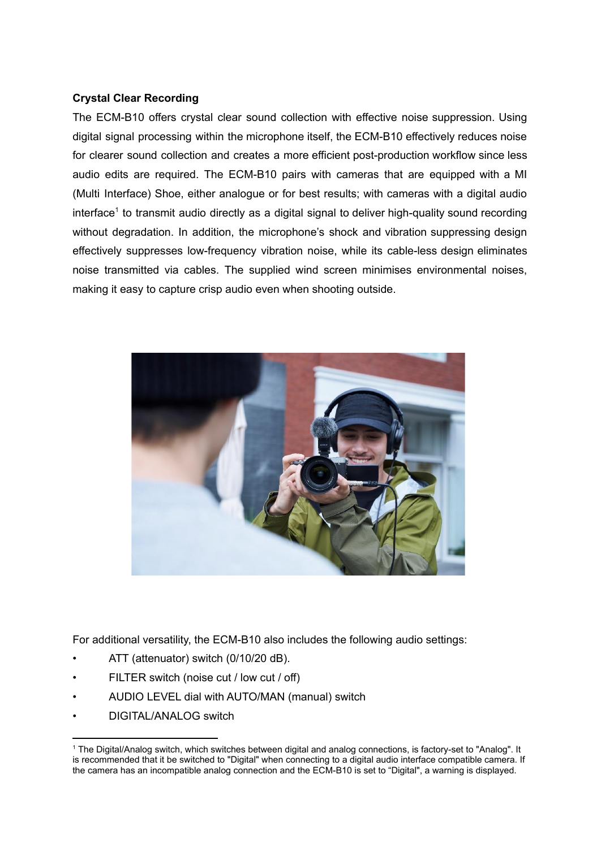## **Crystal Clear Recording**

The ECM-B10 offers crystal clear sound collection with effective noise suppression. Using digital signal processing within the microphone itself, the ECM-B10 effectively reduces noise for clearer sound collection and creates a more efficient post-production workflow since less audio edits are required. The ECM-B10 pairs with cameras that are equipped with a MI (Multi Interface) Shoe, either analogue or for best results; with cameras with a digital audio interface<sup>1</sup> to transmit audio directly as a digital signal to deliver high-quality sound recording without degradation. In addition, the microphone's shock and vibration suppressing design effectively suppresses low-frequency vibration noise, while its cable-less design eliminates noise transmitted via cables. The supplied wind screen minimises environmental noises, making it easy to capture crisp audio even when shooting outside.



For additional versatility, the ECM-B10 also includes the following audio settings:

- ATT (attenuator) switch (0/10/20 dB).
- FILTER switch (noise cut / low cut / off)
- AUDIO LEVEL dial with AUTO/MAN (manual) switch
- DIGITAL/ANALOG switch

<sup>&</sup>lt;sup>1</sup> The Digital/Analog switch, which switches between digital and analog connections, is factory-set to "Analog". It is recommended that it be switched to "Digital" when connecting to a digital audio interface compatible camera. If the camera has an incompatible analog connection and the ECM-B10 is set to "Digital", a warning is displayed.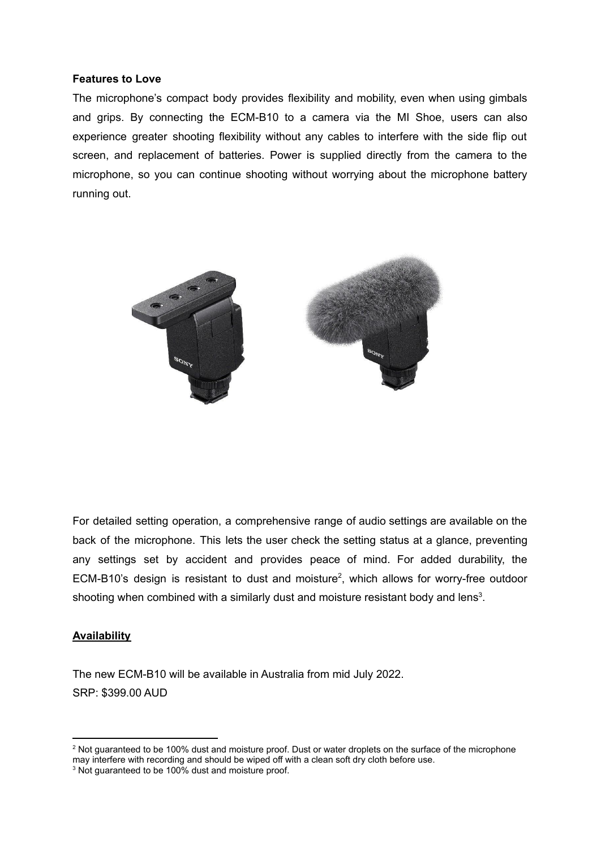#### **Features to Love**

The microphone's compact body provides flexibility and mobility, even when using gimbals and grips. By connecting the ECM-B10 to a camera via the MI Shoe, users can also experience greater shooting flexibility without any cables to interfere with the side flip out screen, and replacement of batteries. Power is supplied directly from the camera to the microphone, so you can continue shooting without worrying about the microphone battery running out.



For detailed setting operation, a comprehensive range of audio settings are available on the back of the microphone. This lets the user check the setting status at a glance, preventing any settings set by accident and provides peace of mind. For added durability, the ECM-B10's design is resistant to dust and moisture 2 , which allows for worry-free outdoor shooting when combined with a similarly dust and moisture resistant body and lens<sup>3</sup>.

### **Availability**

The new ECM-B10 will be available in Australia from mid July 2022. SRP: \$399.00 AUD

<sup>&</sup>lt;sup>2</sup> Not guaranteed to be 100% dust and moisture proof. Dust or water droplets on the surface of the microphone may interfere with recording and should be wiped off with a clean soft dry cloth before use.

<sup>&</sup>lt;sup>3</sup> Not guaranteed to be 100% dust and moisture proof.